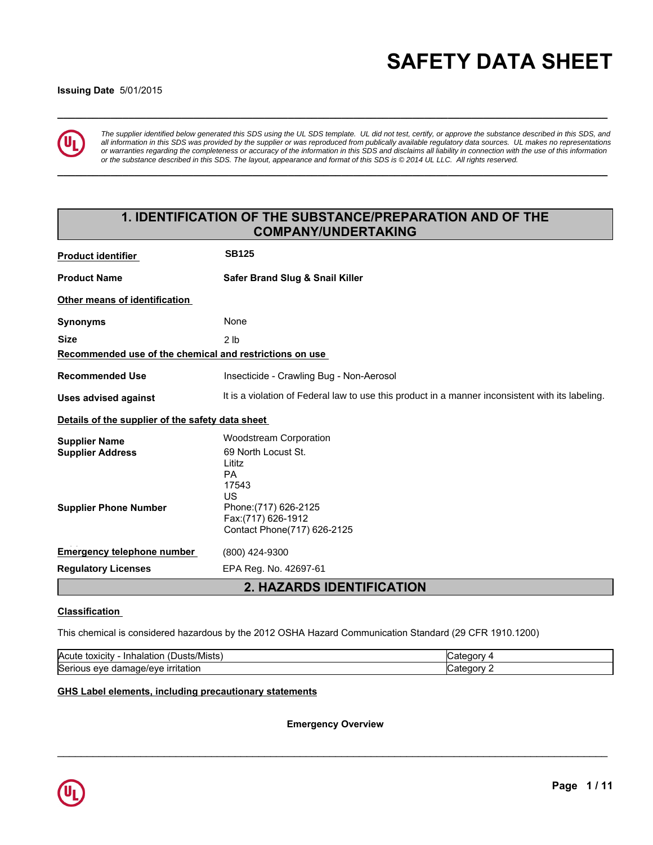# **\_\_\_\_\_\_\_\_\_\_\_\_\_\_\_\_\_\_\_\_\_\_\_\_\_\_\_\_\_\_\_\_\_\_\_\_\_\_\_\_\_\_\_\_\_\_\_\_\_\_\_\_\_\_\_\_\_\_\_\_\_\_\_\_\_\_\_\_\_\_\_\_\_\_\_\_\_\_\_\_\_\_\_\_\_\_\_\_\_\_\_\_\_ SAFETY DATA SHEET**

#### **Issuing Date** 5/01/2015



*The supplier identified below generated this SDS using the UL SDS template. UL did not test, certify, or approve the substance described in this SDS, and all information in this SDS was provided by the supplier or was reproduced from publically available regulatory data sources. UL makes no representations or warranties regarding the completeness or accuracy of the information in this SDS and disclaims all liability in connection with the use of this information or the substance described in this SDS. The layout, appearance and format of this SDS is © 2014 UL LLC. All rights reserved.*

**\_\_\_\_\_\_\_\_\_\_\_\_\_\_\_\_\_\_\_\_\_\_\_\_\_\_\_\_\_\_\_\_\_\_\_\_\_\_\_\_\_\_\_\_\_\_\_\_\_\_\_\_\_\_\_\_\_\_\_\_\_\_\_\_\_\_\_\_\_\_\_\_\_\_\_\_\_\_\_\_\_\_\_\_\_\_\_\_\_\_\_\_\_**

## **1. IDENTIFICATION OF THE SUBSTANCE/PREPARATION AND OF THE COMPANY/UNDERTAKING**

| <b>Product identifier</b>                               | <b>SB125</b>                                                                                     |  |  |
|---------------------------------------------------------|--------------------------------------------------------------------------------------------------|--|--|
| <b>Product Name</b>                                     | Safer Brand Slug & Snail Killer                                                                  |  |  |
| Other means of identification                           |                                                                                                  |  |  |
| <b>Synonyms</b>                                         | None                                                                                             |  |  |
| <b>Size</b>                                             | 2 <sub>1b</sub>                                                                                  |  |  |
| Recommended use of the chemical and restrictions on use |                                                                                                  |  |  |
| <b>Recommended Use</b>                                  | Insecticide - Crawling Bug - Non-Aerosol                                                         |  |  |
| <b>Uses advised against</b>                             | It is a violation of Federal law to use this product in a manner inconsistent with its labeling. |  |  |
| Details of the supplier of the safety data sheet        |                                                                                                  |  |  |
| <b>Supplier Name</b>                                    | <b>Woodstream Corporation</b>                                                                    |  |  |
| <b>Supplier Address</b>                                 | 69 North Locust St.<br>Lititz                                                                    |  |  |
|                                                         | <b>PA</b>                                                                                        |  |  |
|                                                         | 17543                                                                                            |  |  |
|                                                         | US                                                                                               |  |  |
| <b>Supplier Phone Number</b>                            | Phone: (717) 626-2125<br>Fax: (717) 626-1912                                                     |  |  |
|                                                         | Contact Phone(717) 626-2125                                                                      |  |  |
| <b>Emergency telephone number</b>                       | (800) 424-9300                                                                                   |  |  |
| <b>Regulatory Licenses</b>                              | EPA Reg. No. 42697-61                                                                            |  |  |
|                                                         | 2. HAZARDS IDENTIFICATION                                                                        |  |  |

#### **Classification**

This chemical is considered hazardous by the 2012 OSHA Hazard Communication Standard (29 CFR 1910.1200)

| $\cdot$ $\cdot$<br><b>Acute</b><br>Mısts:<br>toxicity<br><b>Inhalation</b><br>ют<br>л<br>┓╻. |     |
|----------------------------------------------------------------------------------------------|-----|
| <b>Seri</b><br><u>ırrıtatıor</u><br>eve<br>oai                                               | - - |

#### **GHS Label elements, including precautionary statements**

**Emergency Overview**

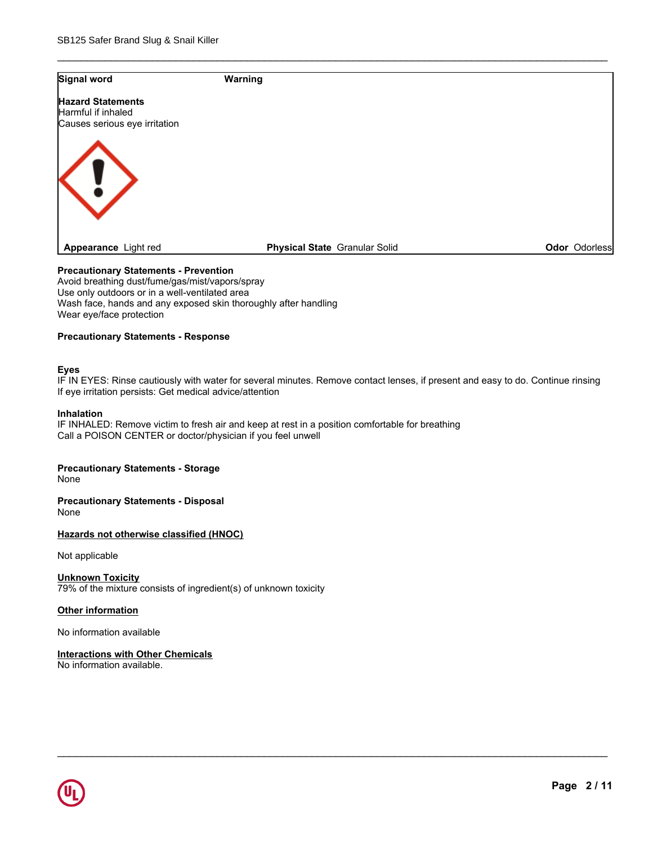| <b>Signal word</b>                                  | Warning                              |               |
|-----------------------------------------------------|--------------------------------------|---------------|
| <b>Hazard Statements</b>                            |                                      |               |
| Harmful if inhaled<br>Causes serious eye irritation |                                      |               |
|                                                     |                                      |               |
|                                                     |                                      |               |
| 〈!`                                                 |                                      |               |
|                                                     |                                      |               |
|                                                     |                                      |               |
|                                                     |                                      |               |
| Appearance Light red                                | <b>Physical State Granular Solid</b> | Odor Odorless |

\_\_\_\_\_\_\_\_\_\_\_\_\_\_\_\_\_\_\_\_\_\_\_\_\_\_\_\_\_\_\_\_\_\_\_\_\_\_\_\_\_\_\_\_\_\_\_\_\_\_\_\_\_\_\_\_\_\_\_\_\_\_\_\_\_\_\_\_\_\_\_\_\_\_\_\_\_\_\_\_\_\_\_\_\_\_\_\_\_\_\_\_\_

#### **Precautionary Statements - Prevention**

Avoid breathing dust/fume/gas/mist/vapors/spray Use only outdoors or in a well-ventilated area Wash face, hands and any exposed skin thoroughly after handling Wear eye/face protection

#### **Precautionary Statements - Response**

#### **Eyes**

IF IN EYES: Rinse cautiously with water for several minutes. Remove contact lenses, if present and easy to do. Continue rinsing If eye irritation persists: Get medical advice/attention

\_\_\_\_\_\_\_\_\_\_\_\_\_\_\_\_\_\_\_\_\_\_\_\_\_\_\_\_\_\_\_\_\_\_\_\_\_\_\_\_\_\_\_\_\_\_\_\_\_\_\_\_\_\_\_\_\_\_\_\_\_\_\_\_\_\_\_\_\_\_\_\_\_\_\_\_\_\_\_\_\_\_\_\_\_\_\_\_\_\_\_\_\_

#### **Inhalation**

IF INHALED: Remove victim to fresh air and keep at rest in a position comfortable for breathing Call a POISON CENTER or doctor/physician if you feel unwell

#### **Precautionary Statements - Storage**

None

**Precautionary Statements - Disposal** None

**Hazards not otherwise classified (HNOC)**

Not applicable

**Unknown Toxicity** 79% of the mixture consists of ingredient(s) of unknown toxicity

#### **Other information**

No information available

**Interactions with Other Chemicals** No information available.

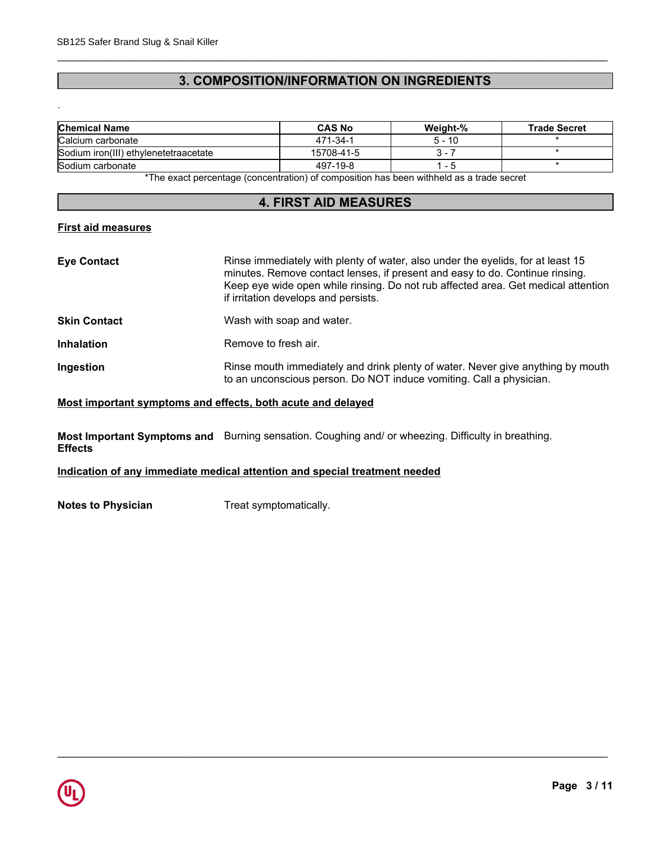## **3. COMPOSITION/INFORMATION ON INGREDIENTS**

\_\_\_\_\_\_\_\_\_\_\_\_\_\_\_\_\_\_\_\_\_\_\_\_\_\_\_\_\_\_\_\_\_\_\_\_\_\_\_\_\_\_\_\_\_\_\_\_\_\_\_\_\_\_\_\_\_\_\_\_\_\_\_\_\_\_\_\_\_\_\_\_\_\_\_\_\_\_\_\_\_\_\_\_\_\_\_\_\_\_\_\_\_

\_\_\_\_\_\_\_\_\_\_\_\_\_\_\_\_\_\_\_\_\_\_\_\_\_\_\_\_\_\_\_\_\_\_\_\_\_\_\_\_\_\_\_\_\_\_\_\_\_\_\_\_\_\_\_\_\_\_\_\_\_\_\_\_\_\_\_\_\_\_\_\_\_\_\_\_\_\_\_\_\_\_\_\_\_\_\_\_\_\_\_\_\_

| <b>Chemical Name</b>                                                                                            | <b>CAS No</b> | Weight-% | <b>Trade Secret</b> |
|-----------------------------------------------------------------------------------------------------------------|---------------|----------|---------------------|
| Calcium carbonate                                                                                               | 471-34-1      | $5 - 10$ |                     |
| Sodium iron(III) ethylenetetraacetate                                                                           | 15708-41-5    |          |                     |
| Sodium carbonate                                                                                                | 497-19-8      | - 5      |                     |
| *The concentration of the contration) of consecutive has been within the contract of the standard concentration |               |          |                     |

\*The exact percentage (concentration) of composition has been withheld as a trade secret

#### **4. FIRST AID MEASURES**

#### **First aid measures**

.

| Rinse immediately with plenty of water, also under the eyelids, for at least 15<br>minutes. Remove contact lenses, if present and easy to do. Continue rinsing.<br>Keep eye wide open while rinsing. Do not rub affected area. Get medical attention<br>if irritation develops and persists. |
|----------------------------------------------------------------------------------------------------------------------------------------------------------------------------------------------------------------------------------------------------------------------------------------------|
| Wash with soap and water.                                                                                                                                                                                                                                                                    |
| Remove to fresh air.                                                                                                                                                                                                                                                                         |
| Rinse mouth immediately and drink plenty of water. Never give anything by mouth<br>to an unconscious person. Do NOT induce vomiting. Call a physician.                                                                                                                                       |
|                                                                                                                                                                                                                                                                                              |

#### **Most important symptoms and effects, both acute and delayed**

**Most Important Symptoms and** Burning sensation. Coughing and/ or wheezing. Difficulty in breathing. **Effects**

#### **Indication of any immediate medical attention and special treatment needed**

**Notes to Physician** Treat symptomatically.

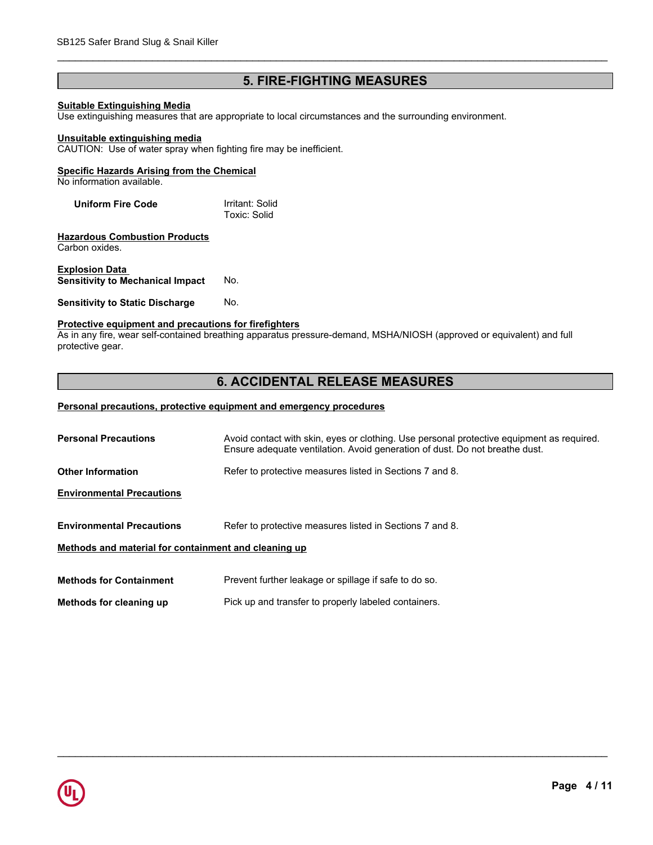## **5. FIRE-FIGHTING MEASURES**

\_\_\_\_\_\_\_\_\_\_\_\_\_\_\_\_\_\_\_\_\_\_\_\_\_\_\_\_\_\_\_\_\_\_\_\_\_\_\_\_\_\_\_\_\_\_\_\_\_\_\_\_\_\_\_\_\_\_\_\_\_\_\_\_\_\_\_\_\_\_\_\_\_\_\_\_\_\_\_\_\_\_\_\_\_\_\_\_\_\_\_\_\_

#### **Suitable Extinguishing Media**

Use extinguishing measures that are appropriate to local circumstances and the surrounding environment.

#### **Unsuitable extinguishing media**

CAUTION: Use of water spray when fighting fire may be inefficient.

#### **Specific Hazards Arising from the Chemical**

No information available.

| <b>Uniform Fire Code</b> | Irritant: Solid |
|--------------------------|-----------------|
|                          | Toxic: Solid    |

**Hazardous Combustion Products** Carbon oxides.

**Explosion Data Sensitivity to Mechanical Impact** No.

#### **Sensitivity to Static Discharge No.**

## **Protective equipment and precautions for firefighters**

As in any fire, wear self-contained breathing apparatus pressure-demand, MSHA/NIOSH (approved or equivalent) and full protective gear.

## **6. ACCIDENTAL RELEASE MEASURES**

#### **Personal precautions, protective equipment and emergency procedures**

| <b>Personal Precautions</b>                          | Avoid contact with skin, eyes or clothing. Use personal protective equipment as required.<br>Ensure adequate ventilation. Avoid generation of dust. Do not breathe dust. |  |  |
|------------------------------------------------------|--------------------------------------------------------------------------------------------------------------------------------------------------------------------------|--|--|
|                                                      |                                                                                                                                                                          |  |  |
| Other Information                                    | Refer to protective measures listed in Sections 7 and 8.                                                                                                                 |  |  |
| <b>Environmental Precautions</b>                     |                                                                                                                                                                          |  |  |
|                                                      |                                                                                                                                                                          |  |  |
| <b>Environmental Precautions</b>                     | Refer to protective measures listed in Sections 7 and 8.                                                                                                                 |  |  |
| Methods and material for containment and cleaning up |                                                                                                                                                                          |  |  |
|                                                      |                                                                                                                                                                          |  |  |
| <b>Methods for Containment</b>                       | Prevent further leakage or spillage if safe to do so.                                                                                                                    |  |  |
| Methods for cleaning up                              | Pick up and transfer to properly labeled containers.                                                                                                                     |  |  |
|                                                      |                                                                                                                                                                          |  |  |

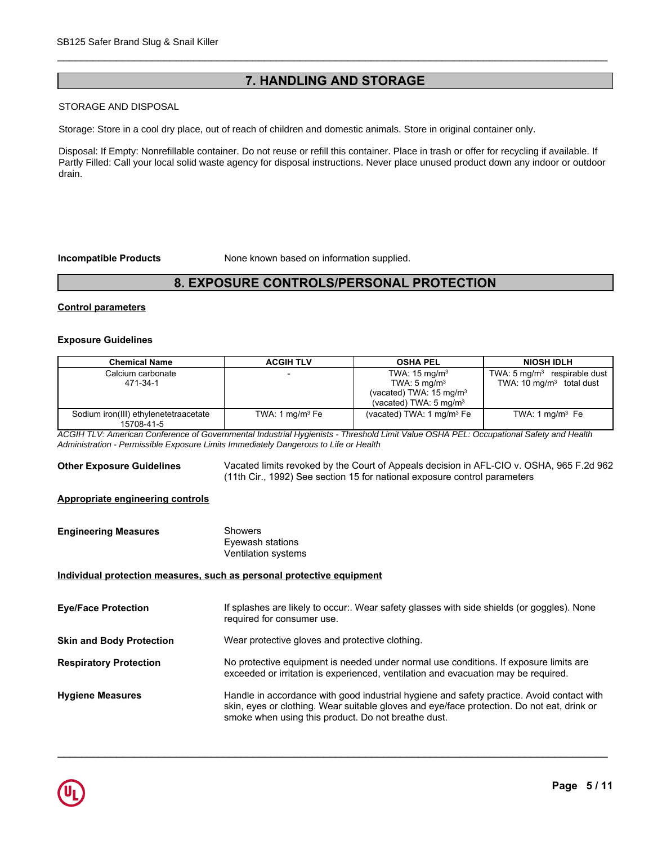## **7. HANDLING AND STORAGE**

\_\_\_\_\_\_\_\_\_\_\_\_\_\_\_\_\_\_\_\_\_\_\_\_\_\_\_\_\_\_\_\_\_\_\_\_\_\_\_\_\_\_\_\_\_\_\_\_\_\_\_\_\_\_\_\_\_\_\_\_\_\_\_\_\_\_\_\_\_\_\_\_\_\_\_\_\_\_\_\_\_\_\_\_\_\_\_\_\_\_\_\_\_

#### **STORAGE AND DISPOSAL**

**Handling** Handle in accordance with good industrial hygiene and safety practice. Avoid contact with Storage: Store in a cool dry place, out of reach of children and domestic animals. Store in original container only.

Disposal: If Empty: Nonrefillable container. Do not reuse or refill this container. Place in trash or offer for recycling if available. If Partly Filled: Call your local solid waste agency for disposal instructions. Never place unused product down any indoor or outdoor  $\mathbf{v}$  vertices the respiratory equipment of  $\mathbf{v}$ drain.

**Incompatible Products** None known based on information supplied.

## **8. EXPOSURE CONTROLS/PERSONAL PROTECTION**

#### **Control parameters**

#### **Exposure Guidelines**

| <b>Control parameters</b>                           |                   |                                                                                                                                 |                                                                                |
|-----------------------------------------------------|-------------------|---------------------------------------------------------------------------------------------------------------------------------|--------------------------------------------------------------------------------|
| <b>Exposure Guidelines</b>                          |                   |                                                                                                                                 |                                                                                |
| <b>Chemical Name</b>                                | <b>ACGIH TLV</b>  | <b>OSHA PEL</b>                                                                                                                 | <b>NIOSH IDLH</b>                                                              |
| Calcium carbonate<br>471-34-1                       |                   | TWA: $15 \text{ mg/m}^3$<br>TWA: $5 \text{ mg/m}^3$<br>(vacated) TWA: $15 \text{ mg/m}^3$<br>(vacated) TWA: 5 mg/m <sup>3</sup> | TWA: $5 \text{ mg/m}^3$ respirable dust<br>TWA: $10 \text{ mg/m}^3$ total dust |
| Sodium iron(III) ethylenetetraacetate<br>15708-41-5 | TWA: 1 $mq/m3 Fe$ | (vacated) TWA: 1 mg/m <sup>3</sup> Fe                                                                                           | TWA: 1 $mq/m3$ Fe                                                              |

**Other Exposure Guidelines** Vacated limits revoked by the Court of Appeals decision in AFL-CIO v. OSHA, 965 F.2d 962 (11th Cir., 1992) See section 15 for national exposure control parameters

#### **Appropriate engineering controls**

| <b>Engineering Measures</b> | Showers             |
|-----------------------------|---------------------|
|                             | Eyewash stations    |
|                             | Ventilation systems |

#### **Individual protection measures, such as personal protective equipment**

| <b>Eye/Face Protection</b>      | If splashes are likely to occur:. Wear safety glasses with side shields (or goggles). None<br>required for consumer use.                                                                                                                       |
|---------------------------------|------------------------------------------------------------------------------------------------------------------------------------------------------------------------------------------------------------------------------------------------|
| <b>Skin and Body Protection</b> | Wear protective gloves and protective clothing.                                                                                                                                                                                                |
| <b>Respiratory Protection</b>   | No protective equipment is needed under normal use conditions. If exposure limits are<br>exceeded or irritation is experienced, ventilation and evacuation may be required.                                                                    |
| <b>Hygiene Measures</b>         | Handle in accordance with good industrial hygiene and safety practice. Avoid contact with<br>skin, eyes or clothing. Wear suitable gloves and eye/face protection. Do not eat, drink or<br>smoke when using this product. Do not breathe dust. |

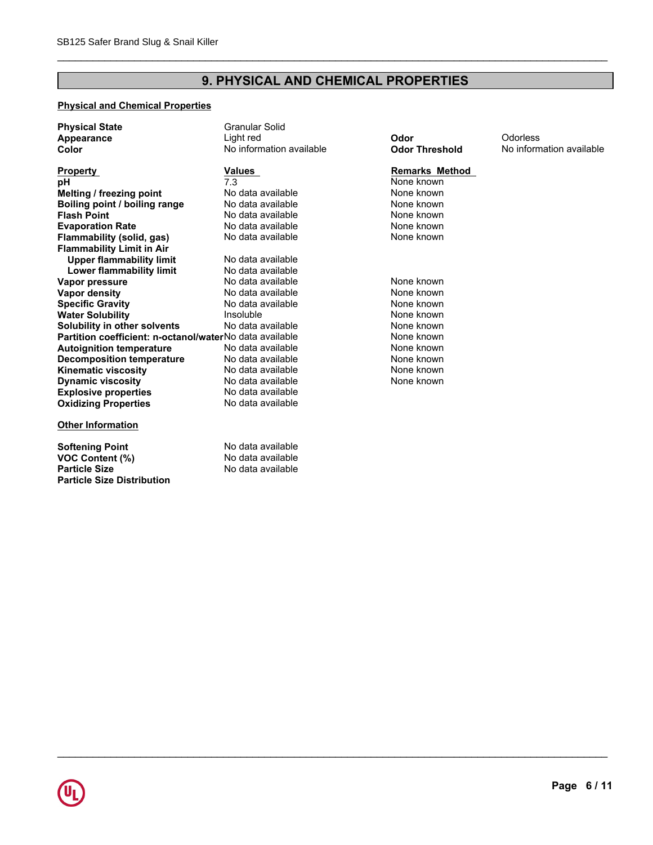# **9. PHYSICAL AND CHEMICAL PROPERTIES**

\_\_\_\_\_\_\_\_\_\_\_\_\_\_\_\_\_\_\_\_\_\_\_\_\_\_\_\_\_\_\_\_\_\_\_\_\_\_\_\_\_\_\_\_\_\_\_\_\_\_\_\_\_\_\_\_\_\_\_\_\_\_\_\_\_\_\_\_\_\_\_\_\_\_\_\_\_\_\_\_\_\_\_\_\_\_\_\_\_\_\_\_\_

## **Physical and Chemical Properties**

**Particle Size Distribution**

| <b>Physical State</b>                                   | <b>Granular Solid</b>    |                       |                          |
|---------------------------------------------------------|--------------------------|-----------------------|--------------------------|
| Appearance                                              | Light red                | Odor                  | Odorless                 |
| Color                                                   | No information available | <b>Odor Threshold</b> | No information available |
|                                                         |                          |                       |                          |
| <b>Property</b>                                         | Values                   | <b>Remarks Method</b> |                          |
| рH                                                      | 7.3                      | None known            |                          |
| Melting / freezing point                                | No data available        | None known            |                          |
| Boiling point / boiling range                           | No data available        | None known            |                          |
| <b>Flash Point</b>                                      | No data available        | None known            |                          |
| <b>Evaporation Rate</b>                                 | No data available        | None known            |                          |
| Flammability (solid, gas)                               | No data available        | None known            |                          |
| <b>Flammability Limit in Air</b>                        |                          |                       |                          |
| <b>Upper flammability limit</b>                         | No data available        |                       |                          |
| Lower flammability limit                                | No data available        |                       |                          |
| Vapor pressure                                          | No data available        | None known            |                          |
| Vapor density                                           | No data available        | None known            |                          |
| <b>Specific Gravity</b>                                 | No data available        | None known            |                          |
| <b>Water Solubility</b>                                 | Insoluble                | None known            |                          |
| Solubility in other solvents                            | No data available        | None known            |                          |
| Partition coefficient: n-octanol/waterNo data available |                          | None known            |                          |
| <b>Autoignition temperature</b>                         | No data available        | None known            |                          |
| <b>Decomposition temperature</b>                        | No data available        | None known            |                          |
| <b>Kinematic viscosity</b>                              | No data available        | None known            |                          |
| <b>Dynamic viscosity</b>                                | No data available        | None known            |                          |
| <b>Explosive properties</b>                             | No data available        |                       |                          |
| <b>Oxidizing Properties</b>                             | No data available        |                       |                          |
| <b>Other Information</b>                                |                          |                       |                          |
| <b>Softening Point</b>                                  | No data available        |                       |                          |
| <b>VOC Content (%)</b>                                  | No data available        |                       |                          |
| <b>Particle Size</b>                                    | No data available        |                       |                          |

# <mark>s Method</mark><br><sub>I</sub>own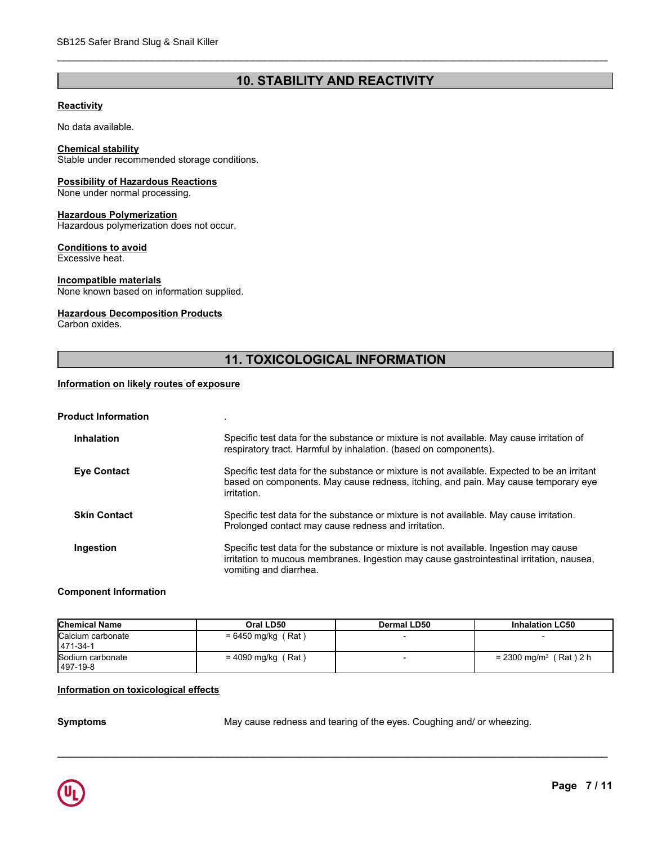## **10. STABILITY AND REACTIVITY**

\_\_\_\_\_\_\_\_\_\_\_\_\_\_\_\_\_\_\_\_\_\_\_\_\_\_\_\_\_\_\_\_\_\_\_\_\_\_\_\_\_\_\_\_\_\_\_\_\_\_\_\_\_\_\_\_\_\_\_\_\_\_\_\_\_\_\_\_\_\_\_\_\_\_\_\_\_\_\_\_\_\_\_\_\_\_\_\_\_\_\_\_\_

#### **Reactivity**

No data available.

#### **Chemical stability**

Stable under recommended storage conditions.

#### **Possibility of Hazardous Reactions**

None under normal processing.

#### **Hazardous Polymerization**

Hazardous polymerization does not occur.

#### **Conditions to avoid**

Excessive heat.

#### **Incompatible materials**

None known based on information supplied.

#### **Hazardous Decomposition Products**

Carbon oxides.

## **11. TOXICOLOGICAL INFORMATION**

#### **Information on likely routes of exposure**

| <b>Product Information</b> |  |
|----------------------------|--|
|----------------------------|--|

| <b>Inhalation</b>   | Specific test data for the substance or mixture is not available. May cause irritation of<br>respiratory tract. Harmful by inhalation. (based on components).                                               |
|---------------------|-------------------------------------------------------------------------------------------------------------------------------------------------------------------------------------------------------------|
| <b>Eye Contact</b>  | Specific test data for the substance or mixture is not available. Expected to be an irritant<br>based on components. May cause redness, itching, and pain. May cause temporary eye<br>irritation.           |
| <b>Skin Contact</b> | Specific test data for the substance or mixture is not available. May cause irritation.<br>Prolonged contact may cause redness and irritation.                                                              |
| Ingestion           | Specific test data for the substance or mixture is not available. Ingestion may cause<br>irritation to mucous membranes. Ingestion may cause gastrointestinal irritation, nausea,<br>vomiting and diarrhea. |

#### **Component Information**

| <b>Chemical Name</b>           | Oral LD50            | Dermal LD50 | <b>Inhalation LC50</b>               |
|--------------------------------|----------------------|-------------|--------------------------------------|
| Calcium carbonate<br>1471-34-1 | $= 6450$ mg/kg (Rat) |             |                                      |
| Sodium carbonate<br>  497-19-8 | $= 4090$ mg/kg (Rat) |             | $= 2300$ mg/m <sup>3</sup> (Rat) 2 h |

#### **Information on toxicological effects**

**Symptoms** May cause redness and tearing of the eyes. Coughing and/ or wheezing.

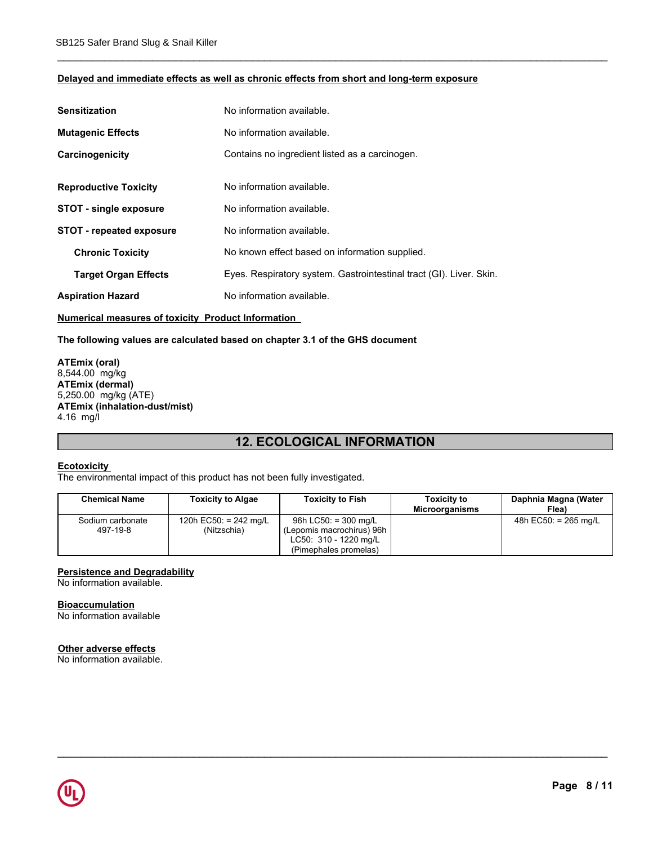#### **Delayed and immediate effects as well as chronic effects from short and long-term exposure**

\_\_\_\_\_\_\_\_\_\_\_\_\_\_\_\_\_\_\_\_\_\_\_\_\_\_\_\_\_\_\_\_\_\_\_\_\_\_\_\_\_\_\_\_\_\_\_\_\_\_\_\_\_\_\_\_\_\_\_\_\_\_\_\_\_\_\_\_\_\_\_\_\_\_\_\_\_\_\_\_\_\_\_\_\_\_\_\_\_\_\_\_\_

| <b>Sensitization</b>            | No information available.                                           |
|---------------------------------|---------------------------------------------------------------------|
| <b>Mutagenic Effects</b>        | No information available.                                           |
| Carcinogenicity                 | Contains no ingredient listed as a carcinogen.                      |
| <b>Reproductive Toxicity</b>    | No information available.                                           |
| <b>STOT - single exposure</b>   | No information available.                                           |
| <b>STOT - repeated exposure</b> | No information available.                                           |
| <b>Chronic Toxicity</b>         | No known effect based on information supplied.                      |
| <b>Target Organ Effects</b>     | Eyes. Respiratory system. Gastrointestinal tract (GI). Liver. Skin. |
| <b>Aspiration Hazard</b>        | No information available.                                           |

#### **Numerical measures of toxicity Product Information**

**The following values are calculated based on chapter 3.1 of the GHS document**

**ATEmix (oral)** 8,544.00 mg/kg **ATEmix (dermal)** 5,250.00 mg/kg (ATE) **ATEmix (inhalation-dust/mist)** 4.16 mg/l

## **12. ECOLOGICAL INFORMATION**

#### **Ecotoxicity**

The environmental impact of this product has not been fully investigated.

| <b>Chemical Name</b> | <b>Toxicity to Algae</b> | <b>Toxicity to Fish</b>   | <b>Toxicity to</b><br><b>Microorganisms</b> | Daphnia Magna (Water<br>Flea) |
|----------------------|--------------------------|---------------------------|---------------------------------------------|-------------------------------|
| Sodium carbonate     | 120h EC50: $= 242$ mg/L  | 96h LC50: $=$ 300 mg/L    |                                             | 48h $EC50:$ = 265 mg/L        |
| 497-19-8             | (Nitzschia)              | (Lepomis macrochirus) 96h |                                             |                               |
|                      |                          | LC50: 310 - 1220 mg/L     |                                             |                               |
|                      |                          | (Pimephales promelas)     |                                             |                               |

\_\_\_\_\_\_\_\_\_\_\_\_\_\_\_\_\_\_\_\_\_\_\_\_\_\_\_\_\_\_\_\_\_\_\_\_\_\_\_\_\_\_\_\_\_\_\_\_\_\_\_\_\_\_\_\_\_\_\_\_\_\_\_\_\_\_\_\_\_\_\_\_\_\_\_\_\_\_\_\_\_\_\_\_\_\_\_\_\_\_\_\_\_

#### **Persistence and Degradability**

No information available.

#### **Bioaccumulation**

No information available

#### **Other adverse effects**

No information available.

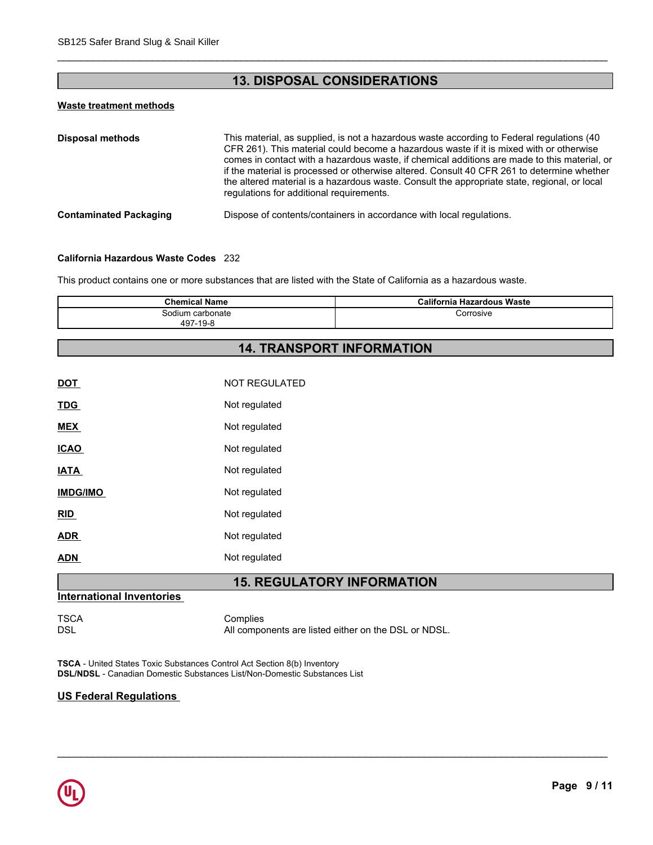## **13. DISPOSAL CONSIDERATIONS**

\_\_\_\_\_\_\_\_\_\_\_\_\_\_\_\_\_\_\_\_\_\_\_\_\_\_\_\_\_\_\_\_\_\_\_\_\_\_\_\_\_\_\_\_\_\_\_\_\_\_\_\_\_\_\_\_\_\_\_\_\_\_\_\_\_\_\_\_\_\_\_\_\_\_\_\_\_\_\_\_\_\_\_\_\_\_\_\_\_\_\_\_\_

#### **Waste treatment methods**

| <b>Disposal methods</b>       | This material, as supplied, is not a hazardous waste according to Federal regulations (40<br>CFR 261). This material could become a hazardous waste if it is mixed with or otherwise<br>comes in contact with a hazardous waste, if chemical additions are made to this material, or<br>if the material is processed or otherwise altered. Consult 40 CFR 261 to determine whether<br>the altered material is a hazardous waste. Consult the appropriate state, regional, or local<br>regulations for additional requirements. |
|-------------------------------|--------------------------------------------------------------------------------------------------------------------------------------------------------------------------------------------------------------------------------------------------------------------------------------------------------------------------------------------------------------------------------------------------------------------------------------------------------------------------------------------------------------------------------|
| <b>Contaminated Packaging</b> | Dispose of contents/containers in accordance with local regulations.                                                                                                                                                                                                                                                                                                                                                                                                                                                           |

#### **California Hazardous Waste Codes** 232

This product contains one or more substances that are listed with the State of California as a hazardous waste.

| Chemical<br>Name                  | azardous Waste<br>$\sim$ $\sim$ $\sim$ $\sim$<br>sevnia tr<br>ша |
|-----------------------------------|------------------------------------------------------------------|
| ≅carbonate≅<br>sodium<br>497-19-8 | `orrosive                                                        |

## **14. TRANSPORT INFORMATION**

| <b>DOT</b>      | <b>NOT REGULATED</b> |
|-----------------|----------------------|
| <b>TDG</b>      | Not regulated        |
| <b>MEX</b>      | Not regulated        |
| <b>ICAO</b>     | Not regulated        |
| <b>IATA</b>     | Not regulated        |
| <b>IMDG/IMO</b> | Not regulated        |
| RID             | Not regulated        |
| <b>ADR</b>      | Not regulated        |
| <b>ADN</b>      | Not regulated        |
|                 |                      |

## **15. REGULATORY INFORMATION**

## **International Inventories**

TSCA Complies<br>DSL Mill Compo All components are listed either on the DSL or NDSL.

\_\_\_\_\_\_\_\_\_\_\_\_\_\_\_\_\_\_\_\_\_\_\_\_\_\_\_\_\_\_\_\_\_\_\_\_\_\_\_\_\_\_\_\_\_\_\_\_\_\_\_\_\_\_\_\_\_\_\_\_\_\_\_\_\_\_\_\_\_\_\_\_\_\_\_\_\_\_\_\_\_\_\_\_\_\_\_\_\_\_\_\_\_

**TSCA** - United States Toxic Substances Control Act Section 8(b) Inventory **DSL/NDSL** - Canadian Domestic Substances List/Non-Domestic Substances List

#### **US Federal Regulations**

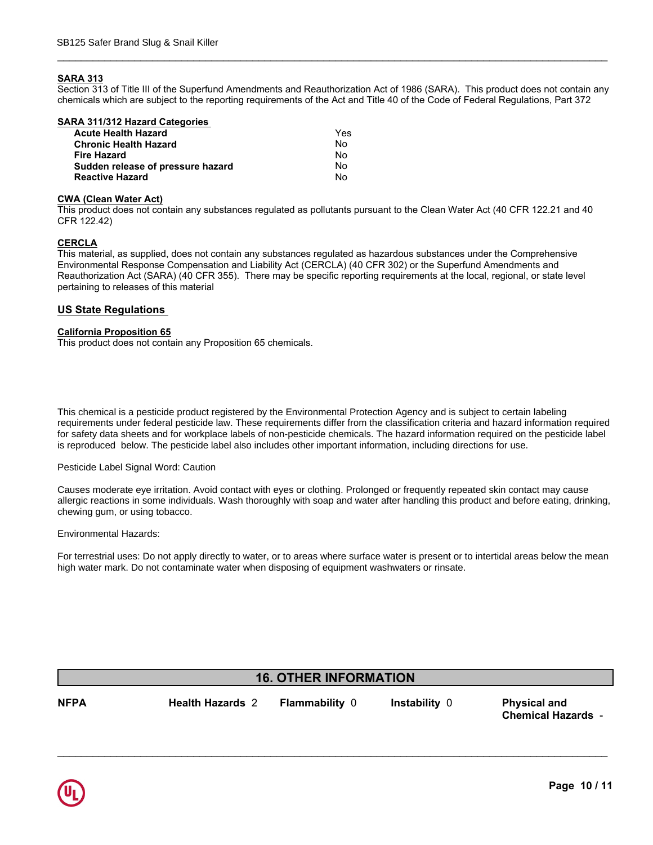#### **SARA 313**

Section 313 of Title III of the Superfund Amendments and Reauthorization Act of 1986 (SARA). This product does not contain any chemicals which are subject to the reporting requirements of the Act and Title 40 of the Code of Federal Regulations, Part 372

\_\_\_\_\_\_\_\_\_\_\_\_\_\_\_\_\_\_\_\_\_\_\_\_\_\_\_\_\_\_\_\_\_\_\_\_\_\_\_\_\_\_\_\_\_\_\_\_\_\_\_\_\_\_\_\_\_\_\_\_\_\_\_\_\_\_\_\_\_\_\_\_\_\_\_\_\_\_\_\_\_\_\_\_\_\_\_\_\_\_\_\_\_

| SARA 311/312 Hazard Categories    |     |  |
|-----------------------------------|-----|--|
| <b>Acute Health Hazard</b>        | Yes |  |
| <b>Chronic Health Hazard</b>      | Nο  |  |
| <b>Fire Hazard</b>                | No  |  |
| Sudden release of pressure hazard | No  |  |
| <b>Reactive Hazard</b>            | No  |  |
|                                   |     |  |

#### **CWA (Clean Water Act)**

This product does not contain any substances regulated as pollutants pursuant to the Clean Water Act (40 CFR 122.21 and 40 CFR 122.42)

#### **CERCLA**

This material, as supplied, does not contain any substances regulated as hazardous substances under the Comprehensive Environmental Response Compensation and Liability Act (CERCLA) (40 CFR 302) or the Superfund Amendments and Reauthorization Act (SARA) (40 CFR 355). There may be specific reporting requirements at the local, regional, or state level pertaining to releases of this material

#### **US State Regulations**

#### **California Proposition 65**

This product does not contain any Proposition 65 chemicals.

**Chemical Actions**<br> **Chemical Actions**<br> **Chemical Actions**<br> **Chemical Actions**<br> **Chemical Proferent Actions Pennet Actions**<br> **Chemical Proferent Actions Pennet Actions Action Agency and is subject to certain labeling<br>
In f** requirements under federal pesticide law. These requirements differ from the classification criteria and hazard information required for safety data sheets and for workplace labels of non-pesticide chemicals. The hazard information required on the pesticide label **International Regulations**  This chemical is a pesticide product registered by the Environmental Protection Agency and is subject to certain labeling is reproduced below. The pesticide label also includes other important information, including directions for use.

#### **Mexico Mexico Mexico Mexico Mexico Mexico Mexico Mexico Mexico Mexico Mexico Mexico Mexico** Pesticide Label Signal Word: Caution

Causes moderate eye irritation. Avoid contact with eyes or clothing. Prolonged or frequently repeated skin contact may cause **Component Carcinogen Status Exposure Limits** allergic reactions in some individuals. Wash thoroughly with soap and water after handling this product and before eating, drinking, chewing gum, or using tobacco.

Environmental Hazards: **Environmental** Hazards:

For terrestrial uses: Do not apply directly to water, or to areas where surface water is present or to intertidal areas below the mean **Canada** high water mark. Do not contaminate water when disposing of equipment washwaters or rinsate.

## **16. OTHER INFORMATION**

**NFPA Health Hazards** 2 **Flammability** 0

\_\_\_\_\_\_\_\_\_\_\_\_\_\_\_\_\_\_\_\_\_\_\_\_\_\_\_\_\_\_\_\_\_\_\_\_\_\_\_\_\_\_\_\_\_\_\_\_\_\_\_\_\_\_\_\_\_\_\_\_\_\_\_\_\_\_\_\_\_\_\_\_\_\_\_\_\_\_\_\_\_\_\_\_\_\_\_\_\_\_\_\_\_

**Instability** 0 **Physical and Chemical Hazards** -